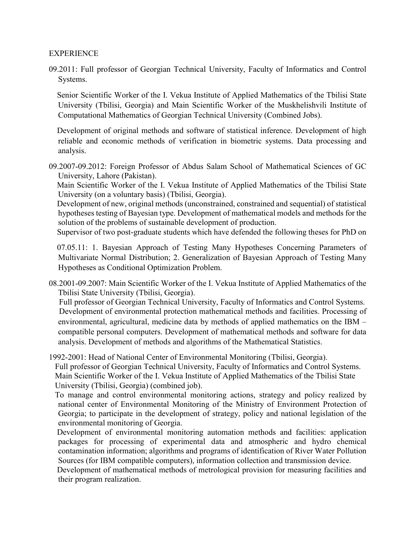## **EXPERIENCE**

09.2011: Full professor of Georgian Technical University, Faculty of Informatics and Control Systems.

 Senior Scientific Worker of the I. Vekua Institute of Applied Mathematics of the Tbilisi State University (Tbilisi, Georgia) and Main Scientific Worker of the Muskhelishvili Institute of Computational Mathematics of Georgian Technical University (Combined Jobs).

 Development of original methods and software of statistical inference. Development of high reliable and economic methods of verification in biometric systems. Data processing and analysis.

09.2007-09.2012: Foreign Professor of Abdus Salam School of Mathematical Sciences of GC University, Lahore (Pakistan).

 Main Scientific Worker of the I. Vekua Institute of Applied Mathematics of the Tbilisi State University (on a voluntary basis) (Tbilisi, Georgia).

 Development of new, original methods (unconstrained, constrained and sequential) of statistical hypotheses testing of Bayesian type. Development of mathematical models and methods for the solution of the problems of sustainable development of production.

Supervisor of two post-graduate students which have defended the following theses for PhD on

 07.05.11: 1. Bayesian Approach of Testing Many Hypotheses Concerning Parameters of Multivariate Normal Distribution; 2. Generalization of Bayesian Approach of Testing Many Hypotheses as Conditional Optimization Problem.

08.2001-09.2007: Main Scientific Worker of the I. Vekua Institute of Applied Mathematics of the Tbilisi State University (Tbilisi, Georgia).

 Full professor of Georgian Technical University, Faculty of Informatics and Control Systems. Development of environmental protection mathematical methods and facilities. Processing of environmental, agricultural, medicine data by methods of applied mathematics on the IBM – compatible personal computers. Development of mathematical methods and software for data analysis. Development of methods and algorithms of the Mathematical Statistics.

1992-2001: Head of National Center of Environmental Monitoring (Tbilisi, Georgia). Full professor of Georgian Technical University, Faculty of Informatics and Control Systems. Main Scientific Worker of the I. Vekua Institute of Applied Mathematics of the Tbilisi State

University (Tbilisi, Georgia) (combined job).

 To manage and control environmental monitoring actions, strategy and policy realized by national center of Environmental Monitoring of the Ministry of Environment Protection of Georgia; to participate in the development of strategy, policy and national legislation of the environmental monitoring of Georgia.

 Development of environmental monitoring automation methods and facilities: application packages for processing of experimental data and atmospheric and hydro chemical contamination information; algorithms and programs of identification of River Water Pollution Sources (for IBM compatible computers), information collection and transmission device.

 Development of mathematical methods of metrological provision for measuring facilities and their program realization.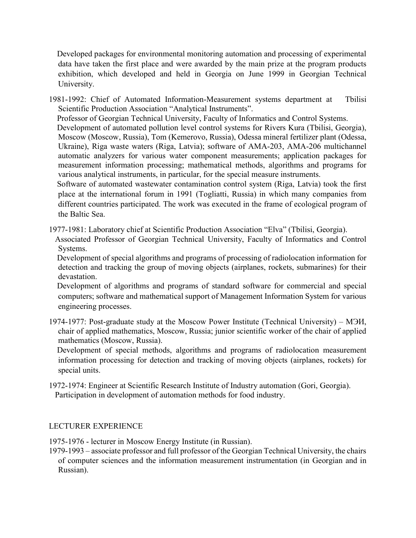Developed packages for environmental monitoring automation and processing of experimental data have taken the first place and were awarded by the main prize at the program products exhibition, which developed and held in Georgia on June 1999 in Georgian Technical University.

1981-1992: Chief of Automated Information-Measurement systems department at Tbilisi Scientific Production Association "Analytical Instruments".

Professor of Georgian Technical University, Faculty of Informatics and Control Systems.

 Development of automated pollution level control systems for Rivers Kura (Tbilisi, Georgia), Moscow (Moscow, Russia), Tom (Kemerovo, Russia), Odessa mineral fertilizer plant (Odessa, Ukraine), Riga waste waters (Riga, Latvia); software of AMA-203, AMA-206 multichannel automatic analyzers for various water component measurements; application packages for measurement information processing; mathematical methods, algorithms and programs for various analytical instruments, in particular, for the special measure instruments.

 Software of automated wastewater contamination control system (Riga, Latvia) took the first place at the international forum in 1991 (Togliatti, Russia) in which many companies from different countries participated. The work was executed in the frame of ecological program of the Baltic Sea.

1977-1981: Laboratory chief at Scientific Production Association "Elva" (Tbilisi, Georgia).

 Associated Professor of Georgian Technical University, Faculty of Informatics and Control Systems.

 Development of special algorithms and programs of processing of radiolocation information for detection and tracking the group of moving objects (airplanes, rockets, submarines) for their devastation.

 Development of algorithms and programs of standard software for commercial and special computers; software and mathematical support of Management Information System for various engineering processes.

1974-1977: Post-graduate study at the Moscow Power Institute (Technical University) – МЭИ, chair of applied mathematics, Moscow, Russia; junior scientific worker of the chair of applied mathematics (Moscow, Russia).

 Development of special methods, algorithms and programs of radiolocation measurement information processing for detection and tracking of moving objects (airplanes, rockets) for special units.

1972-1974: Engineer at Scientific Research Institute of Industry automation (Gori, Georgia). Participation in development of automation methods for food industry.

## LECTURER EXPERIENCE

1975-1976 - lecturer in Moscow Energy Institute (in Russian).

1979-1993 – associate professor and full professor of the Georgian Technical University, the chairs of computer sciences and the information measurement instrumentation (in Georgian and in Russian).